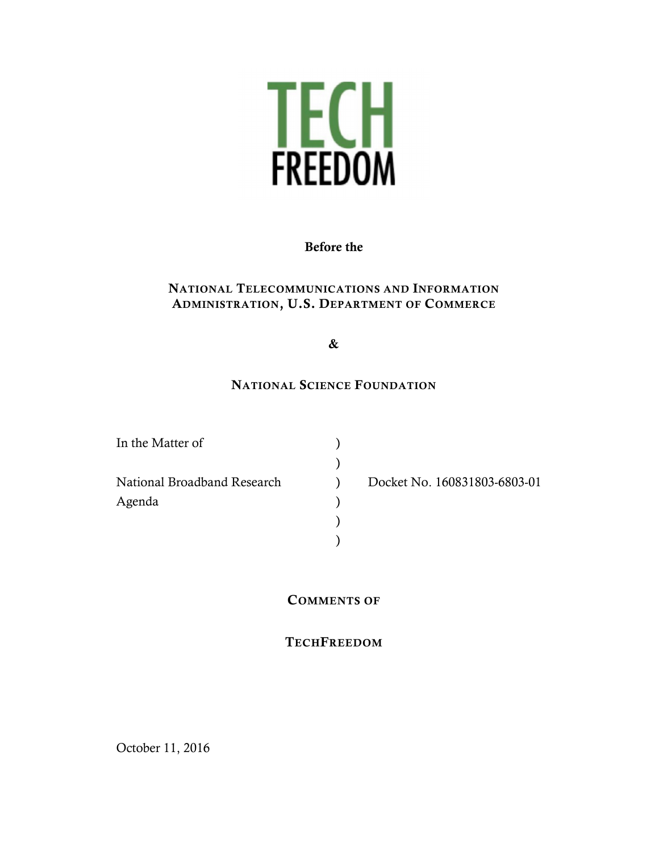

## Before the

### NATIONAL TELECOMMUNICATIONS AND INFORMATION ADMINISTRATION, U.S. DEPARTMENT OF COMMERCE

## &

### NATIONAL SCIENCE FOUNDATION

)

) )

| In the Matter of            |  |
|-----------------------------|--|
|                             |  |
| National Broadband Research |  |
| Agenda                      |  |
|                             |  |

) Docket No. 160831803-6803-01

### COMMENTS OF

# **TECHFREEDOM**

October 11, 2016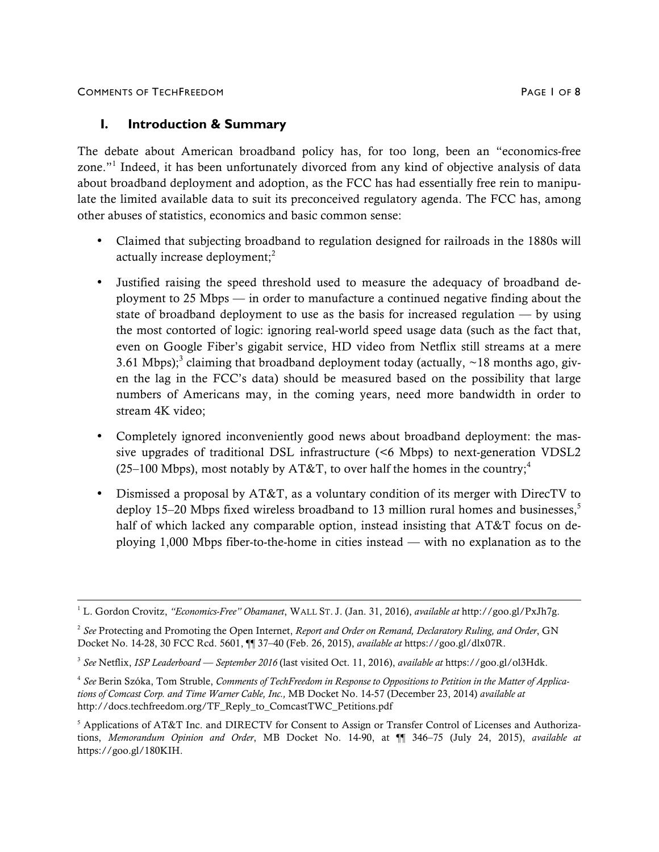### **I. Introduction & Summary**

The debate about American broadband policy has, for too long, been an "economics-free zone."<sup>1</sup> Indeed, it has been unfortunately divorced from any kind of objective analysis of data about broadband deployment and adoption, as the FCC has had essentially free rein to manipulate the limited available data to suit its preconceived regulatory agenda. The FCC has, among other abuses of statistics, economics and basic common sense:

- Claimed that subjecting broadband to regulation designed for railroads in the 1880s will actually increase deployment;<sup>2</sup>
- Justified raising the speed threshold used to measure the adequacy of broadband deployment to 25 Mbps — in order to manufacture a continued negative finding about the state of broadband deployment to use as the basis for increased regulation  $-$  by using the most contorted of logic: ignoring real-world speed usage data (such as the fact that, even on Google Fiber's gigabit service, HD video from Netflix still streams at a mere 3.61 Mbps);<sup>3</sup> claiming that broadband deployment today (actually,  $\sim$ 18 months ago, given the lag in the FCC's data) should be measured based on the possibility that large numbers of Americans may, in the coming years, need more bandwidth in order to stream 4K video;
- Completely ignored inconveniently good news about broadband deployment: the massive upgrades of traditional DSL infrastructure (<6 Mbps) to next-generation VDSL2 (25–100 Mbps), most notably by AT&T, to over half the homes in the country;<sup>4</sup>
- Dismissed a proposal by AT&T, as a voluntary condition of its merger with DirecTV to deploy 15–20 Mbps fixed wireless broadband to 13 million rural homes and businesses, $5$ half of which lacked any comparable option, instead insisting that AT&T focus on deploying 1,000 Mbps fiber-to-the-home in cities instead — with no explanation as to the

 <sup>1</sup> L. Gordon Crovitz, *"Economics-Free" Obamanet*, WALL ST. J. (Jan. 31, 2016), *available at* http://goo.gl/PxJh7g.

<sup>2</sup> *See* Protecting and Promoting the Open Internet, *Report and Order on Remand, Declaratory Ruling, and Order*, GN Docket No. 14-28, 30 FCC Rcd. 5601, ¶¶ 37–40 (Feb. 26, 2015), *available at* https://goo.gl/dlx07R.

<sup>3</sup> *See* Netflix, *ISP Leaderboard — September 2016* (last visited Oct. 11, 2016), *available at* https://goo.gl/ol3Hdk.

<sup>4</sup> *See* Berin Szóka, Tom Struble, *Comments of TechFreedom in Response to Oppositions to Petition in the Matter of Applications of Comcast Corp. and Time Warner Cable, Inc.,* MB Docket No. 14-57 (December 23, 2014) *available at*  http://docs.techfreedom.org/TF\_Reply\_to\_ComcastTWC\_Petitions.pdf

<sup>5</sup> Applications of AT&T Inc. and DIRECTV for Consent to Assign or Transfer Control of Licenses and Authorizations, *Memorandum Opinion and Order*, MB Docket No. 14-90, at ¶¶ 346–75 (July 24, 2015), *available at*  https://goo.gl/180KIH.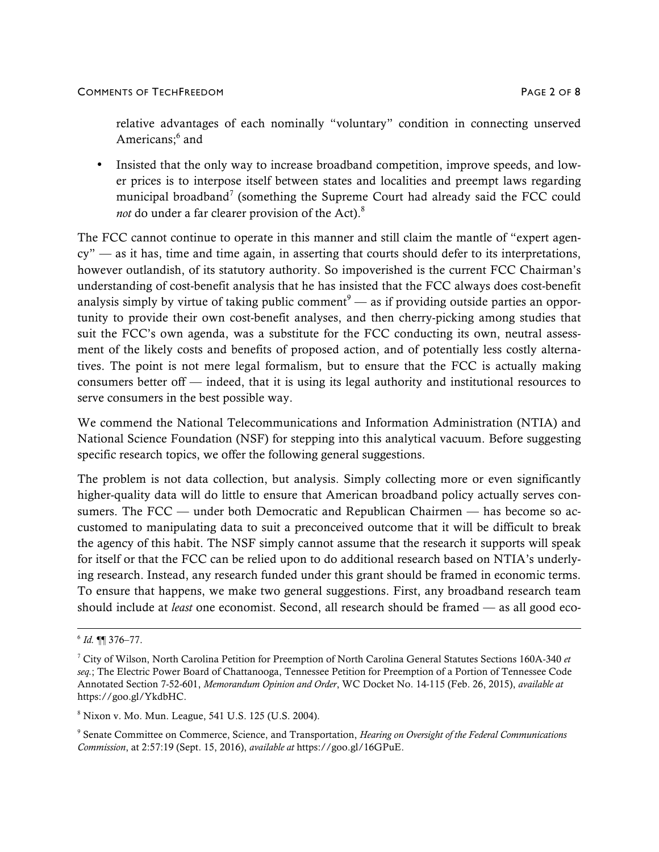relative advantages of each nominally "voluntary" condition in connecting unserved Americans:<sup>6</sup> and

• Insisted that the only way to increase broadband competition, improve speeds, and lower prices is to interpose itself between states and localities and preempt laws regarding municipal broadband<sup>7</sup> (something the Supreme Court had already said the FCC could *not* do under a far clearer provision of the Act). 8

The FCC cannot continue to operate in this manner and still claim the mantle of "expert agency" — as it has, time and time again, in asserting that courts should defer to its interpretations, however outlandish, of its statutory authority. So impoverished is the current FCC Chairman's understanding of cost-benefit analysis that he has insisted that the FCC always does cost-benefit analysis simply by virtue of taking public comment<sup>9</sup> — as if providing outside parties an opportunity to provide their own cost-benefit analyses, and then cherry-picking among studies that suit the FCC's own agenda, was a substitute for the FCC conducting its own, neutral assessment of the likely costs and benefits of proposed action, and of potentially less costly alternatives. The point is not mere legal formalism, but to ensure that the FCC is actually making consumers better off — indeed, that it is using its legal authority and institutional resources to serve consumers in the best possible way.

We commend the National Telecommunications and Information Administration (NTIA) and National Science Foundation (NSF) for stepping into this analytical vacuum. Before suggesting specific research topics, we offer the following general suggestions.

The problem is not data collection, but analysis. Simply collecting more or even significantly higher-quality data will do little to ensure that American broadband policy actually serves consumers. The FCC — under both Democratic and Republican Chairmen — has become so accustomed to manipulating data to suit a preconceived outcome that it will be difficult to break the agency of this habit. The NSF simply cannot assume that the research it supports will speak for itself or that the FCC can be relied upon to do additional research based on NTIA's underlying research. Instead, any research funded under this grant should be framed in economic terms. To ensure that happens, we make two general suggestions. First, any broadband research team should include at *least* one economist. Second, all research should be framed — as all good eco-

<sup>8</sup> Nixon v. Mo. Mun. League, 541 U.S. 125 (U.S. 2004).

 $6$  *Id.* **[1]** 376–77.

<sup>7</sup> City of Wilson, North Carolina Petition for Preemption of North Carolina General Statutes Sections 160A-340 *et seq.*; The Electric Power Board of Chattanooga, Tennessee Petition for Preemption of a Portion of Tennessee Code Annotated Section 7-52-601, *Memorandum Opinion and Order*, WC Docket No. 14-115 (Feb. 26, 2015), *available at*  https://goo.gl/YkdbHC.

<sup>9</sup> Senate Committee on Commerce, Science, and Transportation, *Hearing on Oversight of the Federal Communications Commission*, at 2:57:19 (Sept. 15, 2016), *available at* https://goo.gl/16GPuE.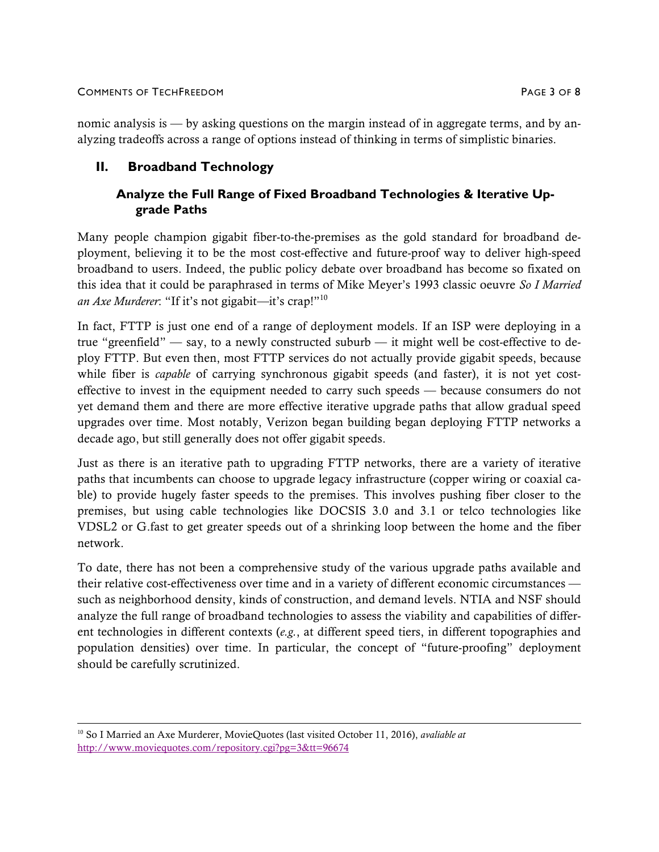### COMMENTS OF TECHFREEDOM PAGE 3 OF 8

# **II. Broadband Technology**

# **Analyze the Full Range of Fixed Broadband Technologies & Iterative Upgrade Paths**

Many people champion gigabit fiber-to-the-premises as the gold standard for broadband deployment, believing it to be the most cost-effective and future-proof way to deliver high-speed broadband to users. Indeed, the public policy debate over broadband has become so fixated on this idea that it could be paraphrased in terms of Mike Meyer's 1993 classic oeuvre *So I Married an Axe Murderer*: "If it's not gigabit*—*it's crap!"<sup>10</sup>

In fact, FTTP is just one end of a range of deployment models. If an ISP were deploying in a true "greenfield" — say, to a newly constructed suburb — it might well be cost-effective to deploy FTTP. But even then, most FTTP services do not actually provide gigabit speeds, because while fiber is *capable* of carrying synchronous gigabit speeds (and faster), it is not yet costeffective to invest in the equipment needed to carry such speeds — because consumers do not yet demand them and there are more effective iterative upgrade paths that allow gradual speed upgrades over time. Most notably, Verizon began building began deploying FTTP networks a decade ago, but still generally does not offer gigabit speeds.

Just as there is an iterative path to upgrading FTTP networks, there are a variety of iterative paths that incumbents can choose to upgrade legacy infrastructure (copper wiring or coaxial cable) to provide hugely faster speeds to the premises. This involves pushing fiber closer to the premises, but using cable technologies like DOCSIS 3.0 and 3.1 or telco technologies like VDSL2 or G.fast to get greater speeds out of a shrinking loop between the home and the fiber network.

To date, there has not been a comprehensive study of the various upgrade paths available and their relative cost-effectiveness over time and in a variety of different economic circumstances such as neighborhood density, kinds of construction, and demand levels. NTIA and NSF should analyze the full range of broadband technologies to assess the viability and capabilities of different technologies in different contexts (*e.g.*, at different speed tiers, in different topographies and population densities) over time. In particular, the concept of "future-proofing" deployment should be carefully scrutinized.

 <sup>10</sup> So I Married an Axe Murderer, MovieQuotes (last visited October 11, 2016), *avaliable at*  http://www.moviequotes.com/repository.cgi?pg=3&tt=96674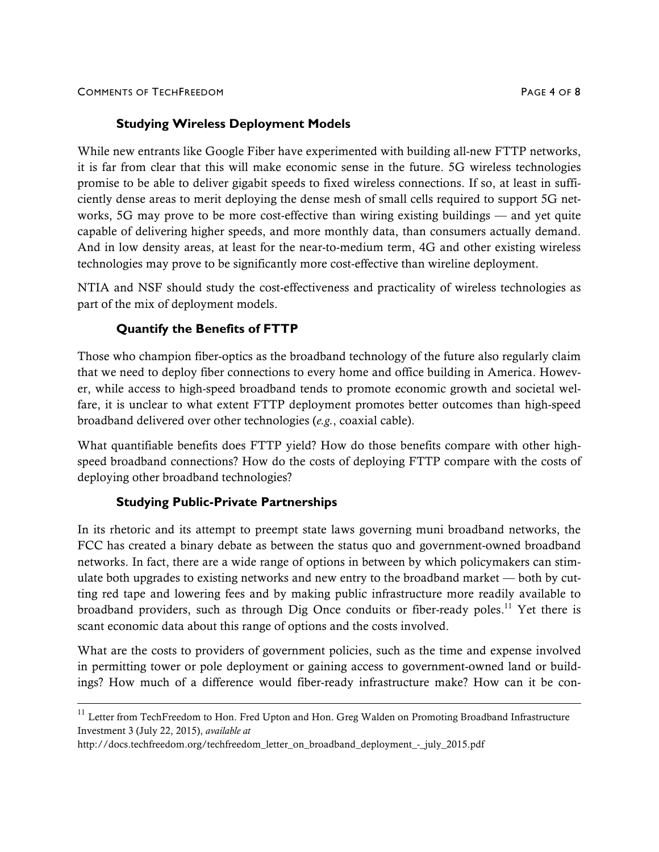# **Studying Wireless Deployment Models**

While new entrants like Google Fiber have experimented with building all-new FTTP networks, it is far from clear that this will make economic sense in the future. 5G wireless technologies promise to be able to deliver gigabit speeds to fixed wireless connections. If so, at least in sufficiently dense areas to merit deploying the dense mesh of small cells required to support 5G networks, 5G may prove to be more cost-effective than wiring existing buildings — and yet quite capable of delivering higher speeds, and more monthly data, than consumers actually demand. And in low density areas, at least for the near-to-medium term, 4G and other existing wireless technologies may prove to be significantly more cost-effective than wireline deployment.

NTIA and NSF should study the cost-effectiveness and practicality of wireless technologies as part of the mix of deployment models.

# **Quantify the Benefits of FTTP**

Those who champion fiber-optics as the broadband technology of the future also regularly claim that we need to deploy fiber connections to every home and office building in America. However, while access to high-speed broadband tends to promote economic growth and societal welfare, it is unclear to what extent FTTP deployment promotes better outcomes than high-speed broadband delivered over other technologies (*e.g.*, coaxial cable).

What quantifiable benefits does FTTP yield? How do those benefits compare with other highspeed broadband connections? How do the costs of deploying FTTP compare with the costs of deploying other broadband technologies?

### **Studying Public-Private Partnerships**

In its rhetoric and its attempt to preempt state laws governing muni broadband networks, the FCC has created a binary debate as between the status quo and government-owned broadband networks. In fact, there are a wide range of options in between by which policymakers can stimulate both upgrades to existing networks and new entry to the broadband market — both by cutting red tape and lowering fees and by making public infrastructure more readily available to broadband providers, such as through Dig Once conduits or fiber-ready poles.<sup>11</sup> Yet there is scant economic data about this range of options and the costs involved.

What are the costs to providers of government policies, such as the time and expense involved in permitting tower or pole deployment or gaining access to government-owned land or buildings? How much of a difference would fiber-ready infrastructure make? How can it be con-

 $^{11}$  Letter from TechFreedom to Hon. Fred Upton and Hon. Greg Walden on Promoting Broadband Infrastructure Investment 3 (July 22, 2015), *available at*

http://docs.techfreedom.org/techfreedom\_letter\_on\_broadband\_deployment\_-\_july\_2015.pdf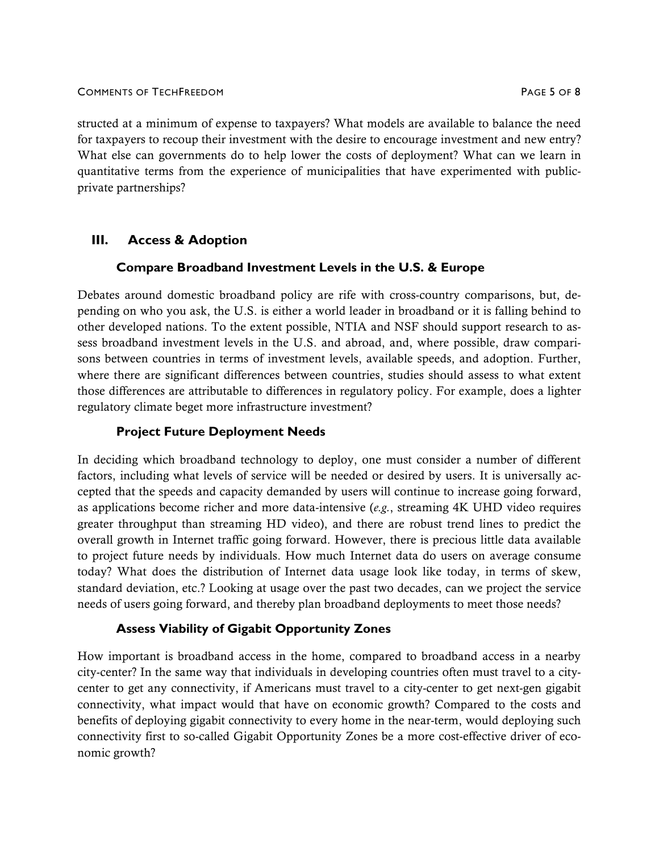#### COMMENTS OF TECHFREEDOM PAGE 5 OF 8

structed at a minimum of expense to taxpayers? What models are available to balance the need for taxpayers to recoup their investment with the desire to encourage investment and new entry? What else can governments do to help lower the costs of deployment? What can we learn in quantitative terms from the experience of municipalities that have experimented with publicprivate partnerships?

# **III. Access & Adoption**

### **Compare Broadband Investment Levels in the U.S. & Europe**

Debates around domestic broadband policy are rife with cross-country comparisons, but, depending on who you ask, the U.S. is either a world leader in broadband or it is falling behind to other developed nations. To the extent possible, NTIA and NSF should support research to assess broadband investment levels in the U.S. and abroad, and, where possible, draw comparisons between countries in terms of investment levels, available speeds, and adoption. Further, where there are significant differences between countries, studies should assess to what extent those differences are attributable to differences in regulatory policy. For example, does a lighter regulatory climate beget more infrastructure investment?

### **Project Future Deployment Needs**

In deciding which broadband technology to deploy, one must consider a number of different factors, including what levels of service will be needed or desired by users. It is universally accepted that the speeds and capacity demanded by users will continue to increase going forward, as applications become richer and more data-intensive (*e.g.*, streaming 4K UHD video requires greater throughput than streaming HD video), and there are robust trend lines to predict the overall growth in Internet traffic going forward. However, there is precious little data available to project future needs by individuals. How much Internet data do users on average consume today? What does the distribution of Internet data usage look like today, in terms of skew, standard deviation, etc.? Looking at usage over the past two decades, can we project the service needs of users going forward, and thereby plan broadband deployments to meet those needs?

# **Assess Viability of Gigabit Opportunity Zones**

How important is broadband access in the home, compared to broadband access in a nearby city-center? In the same way that individuals in developing countries often must travel to a citycenter to get any connectivity, if Americans must travel to a city-center to get next-gen gigabit connectivity, what impact would that have on economic growth? Compared to the costs and benefits of deploying gigabit connectivity to every home in the near-term, would deploying such connectivity first to so-called Gigabit Opportunity Zones be a more cost-effective driver of economic growth?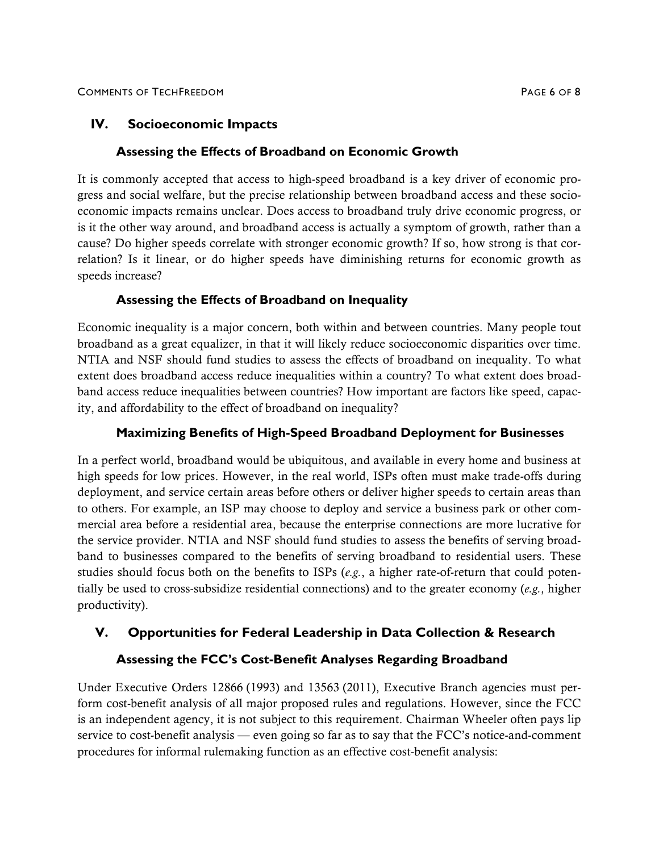# **IV. Socioeconomic Impacts**

# **Assessing the Effects of Broadband on Economic Growth**

It is commonly accepted that access to high-speed broadband is a key driver of economic progress and social welfare, but the precise relationship between broadband access and these socioeconomic impacts remains unclear. Does access to broadband truly drive economic progress, or is it the other way around, and broadband access is actually a symptom of growth, rather than a cause? Do higher speeds correlate with stronger economic growth? If so, how strong is that correlation? Is it linear, or do higher speeds have diminishing returns for economic growth as speeds increase?

# **Assessing the Effects of Broadband on Inequality**

Economic inequality is a major concern, both within and between countries. Many people tout broadband as a great equalizer, in that it will likely reduce socioeconomic disparities over time. NTIA and NSF should fund studies to assess the effects of broadband on inequality. To what extent does broadband access reduce inequalities within a country? To what extent does broadband access reduce inequalities between countries? How important are factors like speed, capacity, and affordability to the effect of broadband on inequality?

# **Maximizing Benefits of High-Speed Broadband Deployment for Businesses**

In a perfect world, broadband would be ubiquitous, and available in every home and business at high speeds for low prices. However, in the real world, ISPs often must make trade-offs during deployment, and service certain areas before others or deliver higher speeds to certain areas than to others. For example, an ISP may choose to deploy and service a business park or other commercial area before a residential area, because the enterprise connections are more lucrative for the service provider. NTIA and NSF should fund studies to assess the benefits of serving broadband to businesses compared to the benefits of serving broadband to residential users. These studies should focus both on the benefits to ISPs (*e.g.*, a higher rate-of-return that could potentially be used to cross-subsidize residential connections) and to the greater economy (*e.g.*, higher productivity).

# **V. Opportunities for Federal Leadership in Data Collection & Research**

# **Assessing the FCC's Cost-Benefit Analyses Regarding Broadband**

Under Executive Orders 12866 (1993) and 13563 (2011), Executive Branch agencies must perform cost-benefit analysis of all major proposed rules and regulations. However, since the FCC is an independent agency, it is not subject to this requirement. Chairman Wheeler often pays lip service to cost-benefit analysis — even going so far as to say that the FCC's notice-and-comment procedures for informal rulemaking function as an effective cost-benefit analysis: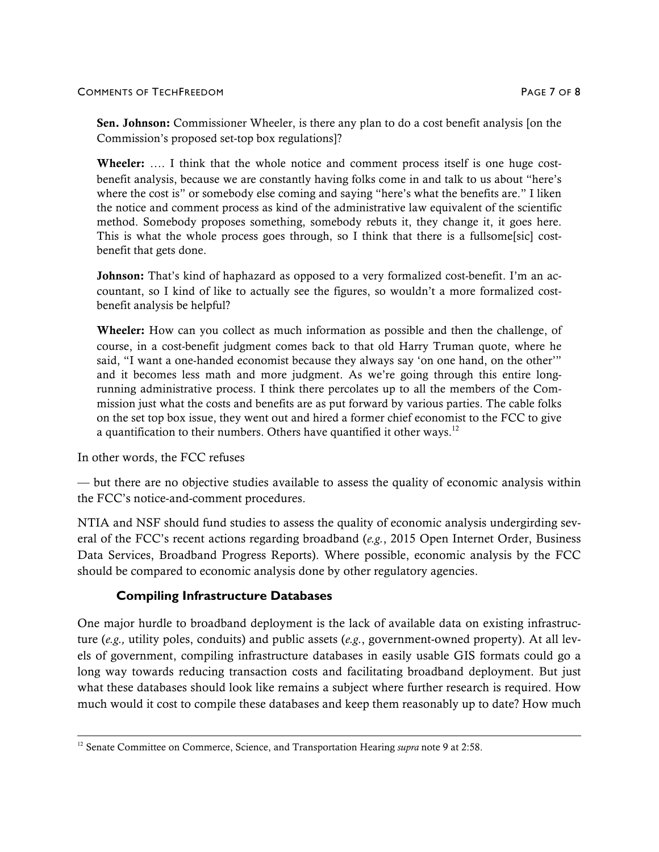#### COMMENTS OF TECHFREEDOM PAGE 7 OF 8

Sen. Johnson: Commissioner Wheeler, is there any plan to do a cost benefit analysis [on the Commission's proposed set-top box regulations]?

Wheeler: .... I think that the whole notice and comment process itself is one huge costbenefit analysis, because we are constantly having folks come in and talk to us about "here's where the cost is" or somebody else coming and saying "here's what the benefits are." I liken the notice and comment process as kind of the administrative law equivalent of the scientific method. Somebody proposes something, somebody rebuts it, they change it, it goes here. This is what the whole process goes through, so I think that there is a fullsome[sic] costbenefit that gets done.

**Johnson:** That's kind of haphazard as opposed to a very formalized cost-benefit. I'm an accountant, so I kind of like to actually see the figures, so wouldn't a more formalized costbenefit analysis be helpful?

Wheeler: How can you collect as much information as possible and then the challenge, of course, in a cost-benefit judgment comes back to that old Harry Truman quote, where he said, "I want a one-handed economist because they always say 'on one hand, on the other'" and it becomes less math and more judgment. As we're going through this entire longrunning administrative process. I think there percolates up to all the members of the Commission just what the costs and benefits are as put forward by various parties. The cable folks on the set top box issue, they went out and hired a former chief economist to the FCC to give a quantification to their numbers. Others have quantified it other ways.<sup>12</sup>

In other words, the FCC refuses

— but there are no objective studies available to assess the quality of economic analysis within the FCC's notice-and-comment procedures.

NTIA and NSF should fund studies to assess the quality of economic analysis undergirding several of the FCC's recent actions regarding broadband (*e.g.*, 2015 Open Internet Order, Business Data Services, Broadband Progress Reports). Where possible, economic analysis by the FCC should be compared to economic analysis done by other regulatory agencies.

#### **Compiling Infrastructure Databases**

One major hurdle to broadband deployment is the lack of available data on existing infrastructure (*e.g.,* utility poles, conduits) and public assets (*e.g.*, government-owned property). At all levels of government, compiling infrastructure databases in easily usable GIS formats could go a long way towards reducing transaction costs and facilitating broadband deployment. But just what these databases should look like remains a subject where further research is required. How much would it cost to compile these databases and keep them reasonably up to date? How much

<sup>&</sup>lt;sup>12</sup> Senate Committee on Commerce, Science, and Transportation Hearing *supra* note 9 at 2:58.